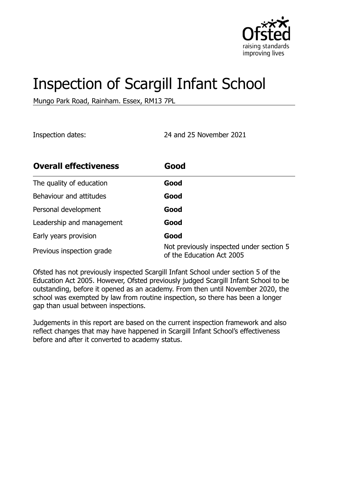

# Inspection of Scargill Infant School

Mungo Park Road, Rainham. Essex, RM13 7PL

Inspection dates: 24 and 25 November 2021

| <b>Overall effectiveness</b> | Good                                                                  |
|------------------------------|-----------------------------------------------------------------------|
| The quality of education     | Good                                                                  |
| Behaviour and attitudes      | Good                                                                  |
| Personal development         | Good                                                                  |
| Leadership and management    | Good                                                                  |
| Early years provision        | Good                                                                  |
| Previous inspection grade    | Not previously inspected under section 5<br>of the Education Act 2005 |

Ofsted has not previously inspected Scargill Infant School under section 5 of the Education Act 2005. However, Ofsted previously judged Scargill Infant School to be outstanding, before it opened as an academy. From then until November 2020, the school was exempted by law from routine inspection, so there has been a longer gap than usual between inspections.

Judgements in this report are based on the current inspection framework and also reflect changes that may have happened in Scargill Infant School's effectiveness before and after it converted to academy status.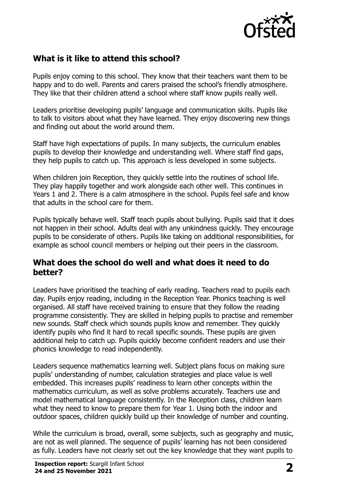

# **What is it like to attend this school?**

Pupils enjoy coming to this school. They know that their teachers want them to be happy and to do well. Parents and carers praised the school's friendly atmosphere. They like that their children attend a school where staff know pupils really well.

Leaders prioritise developing pupils' language and communication skills. Pupils like to talk to visitors about what they have learned. They enjoy discovering new things and finding out about the world around them.

Staff have high expectations of pupils. In many subjects, the curriculum enables pupils to develop their knowledge and understanding well. Where staff find gaps, they help pupils to catch up. This approach is less developed in some subjects.

When children join Reception, they quickly settle into the routines of school life. They play happily together and work alongside each other well. This continues in Years 1 and 2. There is a calm atmosphere in the school. Pupils feel safe and know that adults in the school care for them.

Pupils typically behave well. Staff teach pupils about bullying. Pupils said that it does not happen in their school. Adults deal with any unkindness quickly. They encourage pupils to be considerate of others. Pupils like taking on additional responsibilities, for example as school council members or helping out their peers in the classroom.

#### **What does the school do well and what does it need to do better?**

Leaders have prioritised the teaching of early reading. Teachers read to pupils each day. Pupils enjoy reading, including in the Reception Year. Phonics teaching is well organised. All staff have received training to ensure that they follow the reading programme consistently. They are skilled in helping pupils to practise and remember new sounds. Staff check which sounds pupils know and remember. They quickly identify pupils who find it hard to recall specific sounds. These pupils are given additional help to catch up. Pupils quickly become confident readers and use their phonics knowledge to read independently.

Leaders sequence mathematics learning well. Subject plans focus on making sure pupils' understanding of number, calculation strategies and place value is well embedded. This increases pupils' readiness to learn other concepts within the mathematics curriculum, as well as solve problems accurately. Teachers use and model mathematical language consistently. In the Reception class, children learn what they need to know to prepare them for Year 1. Using both the indoor and outdoor spaces, children quickly build up their knowledge of number and counting.

While the curriculum is broad, overall, some subjects, such as geography and music, are not as well planned. The sequence of pupils' learning has not been considered as fully. Leaders have not clearly set out the key knowledge that they want pupils to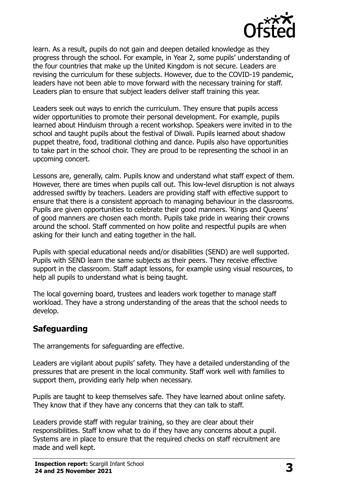

learn. As a result, pupils do not gain and deepen detailed knowledge as they progress through the school. For example, in Year 2, some pupils' understanding of the four countries that make up the United Kingdom is not secure. Leaders are revising the curriculum for these subjects. However, due to the COVID-19 pandemic, leaders have not been able to move forward with the necessary training for staff. Leaders plan to ensure that subject leaders deliver staff training this year.

Leaders seek out ways to enrich the curriculum. They ensure that pupils access wider opportunities to promote their personal development. For example, pupils learned about Hinduism through a recent workshop. Speakers were invited in to the school and taught pupils about the festival of Diwali. Pupils learned about shadow puppet theatre, food, traditional clothing and dance. Pupils also have opportunities to take part in the school choir. They are proud to be representing the school in an upcoming concert.

Lessons are, generally, calm. Pupils know and understand what staff expect of them. However, there are times when pupils call out. This low-level disruption is not always addressed swiftly by teachers. Leaders are providing staff with effective support to ensure that there is a consistent approach to managing behaviour in the classrooms. Pupils are given opportunities to celebrate their good manners. 'Kings and Queens' of good manners are chosen each month. Pupils take pride in wearing their crowns around the school. Staff commented on how polite and respectful pupils are when asking for their lunch and eating together in the hall.

Pupils with special educational needs and/or disabilities (SEND) are well supported. Pupils with SEND learn the same subjects as their peers. They receive effective support in the classroom. Staff adapt lessons, for example using visual resources, to help all pupils to understand what is being taught.

The local governing board, trustees and leaders work together to manage staff workload. They have a strong understanding of the areas that the school needs to develop.

### **Safeguarding**

The arrangements for safeguarding are effective.

Leaders are vigilant about pupils' safety. They have a detailed understanding of the pressures that are present in the local community. Staff work well with families to support them, providing early help when necessary.

Pupils are taught to keep themselves safe. They have learned about online safety. They know that if they have any concerns that they can talk to staff.

Leaders provide staff with regular training, so they are clear about their responsibilities. Staff know what to do if they have any concerns about a pupil. Systems are in place to ensure that the required checks on staff recruitment are made and well kept.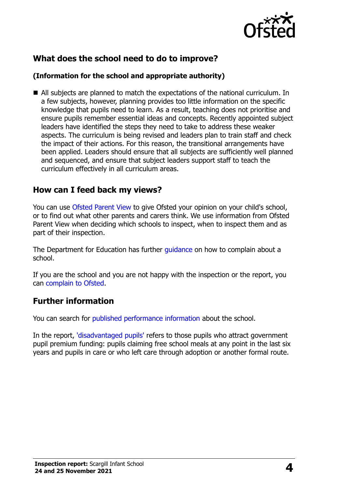

# **What does the school need to do to improve?**

#### **(Information for the school and appropriate authority)**

 All subjects are planned to match the expectations of the national curriculum. In a few subjects, however, planning provides too little information on the specific knowledge that pupils need to learn. As a result, teaching does not prioritise and ensure pupils remember essential ideas and concepts. Recently appointed subject leaders have identified the steps they need to take to address these weaker aspects. The curriculum is being revised and leaders plan to train staff and check the impact of their actions. For this reason, the transitional arrangements have been applied. Leaders should ensure that all subjects are sufficiently well planned and sequenced, and ensure that subject leaders support staff to teach the curriculum effectively in all curriculum areas.

#### **How can I feed back my views?**

You can use [Ofsted Parent View](http://parentview.ofsted.gov.uk/) to give Ofsted your opinion on your child's school, or to find out what other parents and carers think. We use information from Ofsted Parent View when deciding which schools to inspect, when to inspect them and as part of their inspection.

The Department for Education has further quidance on how to complain about a school.

If you are the school and you are not happy with the inspection or the report, you can [complain to Ofsted.](http://www.gov.uk/complain-ofsted-report)

#### **Further information**

You can search for [published performance information](http://www.compare-school-performance.service.gov.uk/) about the school.

In the report, ['disadvantaged pupils'](http://www.gov.uk/guidance/pupil-premium-information-for-schools-and-alternative-provision-settings) refers to those pupils who attract government pupil premium funding: pupils claiming free school meals at any point in the last six years and pupils in care or who left care through adoption or another formal route.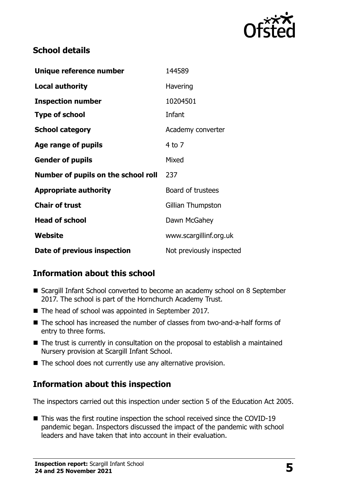

### **School details**

| Unique reference number             | 144589                   |
|-------------------------------------|--------------------------|
| <b>Local authority</b>              | Havering                 |
| <b>Inspection number</b>            | 10204501                 |
| <b>Type of school</b>               | Infant                   |
| <b>School category</b>              | Academy converter        |
| Age range of pupils                 | $4$ to $7$               |
| <b>Gender of pupils</b>             | Mixed                    |
| Number of pupils on the school roll | 237                      |
| <b>Appropriate authority</b>        | Board of trustees        |
| <b>Chair of trust</b>               | Gillian Thumpston        |
| <b>Head of school</b>               | Dawn McGahey             |
| Website                             | www.scargillinf.org.uk   |
| Date of previous inspection         | Not previously inspected |

# **Information about this school**

- Scargill Infant School converted to become an academy school on 8 September 2017. The school is part of the Hornchurch Academy Trust.
- The head of school was appointed in September 2017.
- The school has increased the number of classes from two-and-a-half forms of entry to three forms.
- The trust is currently in consultation on the proposal to establish a maintained Nursery provision at Scargill Infant School.
- $\blacksquare$  The school does not currently use any alternative provision.

### **Information about this inspection**

The inspectors carried out this inspection under section 5 of the Education Act 2005.

■ This was the first routine inspection the school received since the COVID-19 pandemic began. Inspectors discussed the impact of the pandemic with school leaders and have taken that into account in their evaluation.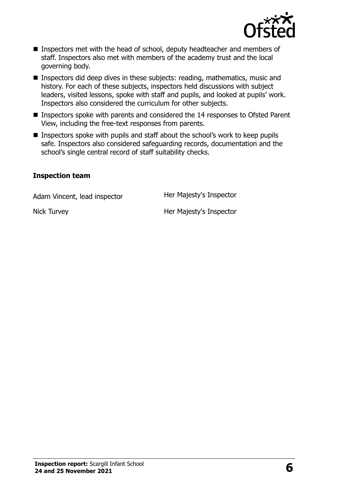

- Inspectors met with the head of school, deputy headteacher and members of staff. Inspectors also met with members of the academy trust and the local governing body.
- **Inspectors did deep dives in these subjects: reading, mathematics, music and** history. For each of these subjects, inspectors held discussions with subject leaders, visited lessons, spoke with staff and pupils, and looked at pupils' work. Inspectors also considered the curriculum for other subjects.
- Inspectors spoke with parents and considered the 14 responses to Ofsted Parent View, including the free-text responses from parents.
- Inspectors spoke with pupils and staff about the school's work to keep pupils safe. Inspectors also considered safeguarding records, documentation and the school's single central record of staff suitability checks.

#### **Inspection team**

Adam Vincent, lead inspector **Her Majesty's Inspector** 

Nick Turvey **Her Majesty's Inspector**